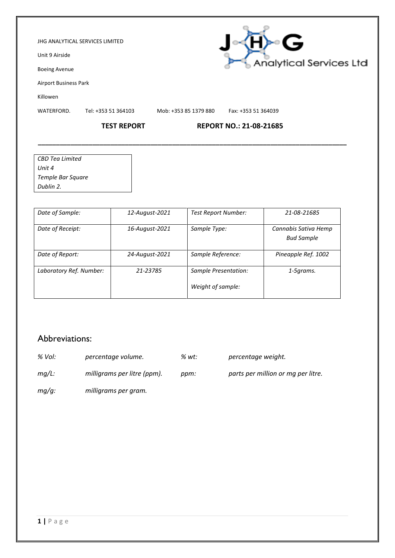### JHG ANALYTICAL SERVICES LIMITED

Unit 9 Airside

Boeing Avenue

Airport Business Park

Killowen

WATERFORD. Tel: +353 51 364103 Mob: +353 85 1379 880 Fax: +353 51 364039

## **TEST REPORT REPORT NO.: 21-08-21685**

| CBD Tea Limited   |  |
|-------------------|--|
| Unit 4            |  |
| Temple Bar Square |  |
| Dublin 2.         |  |

| Date of Sample:         | 12-August-2021 | <b>Test Report Number:</b>                | 21-08-21685                               |
|-------------------------|----------------|-------------------------------------------|-------------------------------------------|
| Date of Receipt:        | 16-August-2021 | Sample Type:                              | Cannabis Sativa Hemp<br><b>Bud Sample</b> |
| Date of Report:         | 24-August-2021 | Sample Reference:                         | Pineapple Ref. 1002                       |
| Laboratory Ref. Number: | 21-23785       | Sample Presentation:<br>Weight of sample: | 1-5grams.                                 |

**\_\_\_\_\_\_\_\_\_\_\_\_\_\_\_\_\_\_\_\_\_\_\_\_\_\_\_\_\_\_\_\_\_\_\_\_\_\_\_\_\_\_\_\_\_\_\_\_\_\_\_\_\_\_\_\_\_\_\_\_\_\_\_\_\_\_\_\_\_\_\_\_\_\_\_\_\_\_\_\_\_\_\_\_\_**

## Abbreviations:

| % Vol:   | percentage volume.          | % wt: | percentage weight.                 |
|----------|-----------------------------|-------|------------------------------------|
| $mq/L$ : | milligrams per litre (ppm). | ppm:  | parts per million or mg per litre. |
| $mq/q$ : | milligrams per gram.        |       |                                    |